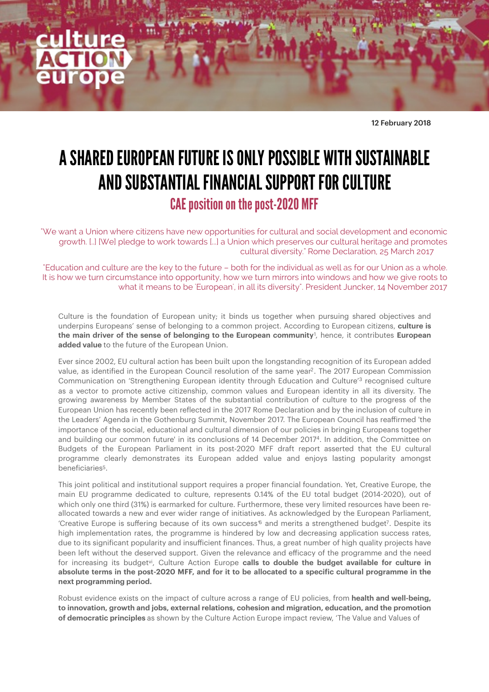<span id="page-0-2"></span><span id="page-0-0"></span>12 February 2018

## A SHARED EUROPEAN FUTURE IS ONLY POSSIBLE WITH SUSTAINABLE AND SUBSTANTIAL FINANCIAL SUPPORT FOR CULTURE CAE position on the post-2020 MFF

"We want a Union where citizens have new opportunities for cultural and social development and economic growth. [..] [We] pledge to work towards [...] a Union which preserves our cultural heritage and promotes cultural diversity." Rome Declaration, 25 March 2017

"Education and culture are the key to the future – both for the individual as well as for our Union as a whole. It is how we turn circumstance into opportunity, how we turn mirrors into windows and how we give roots to what it means to be 'European', in all its diversity". President Juncker, 14 November 2017

Culture is the foundation of European unity; it binds us together when pursuing shared objectives and underpins Europeans' sense of belonging to a common project. According to European citizens, **culture is**  the main driver of the sense of belonging to the European community<sup>[1](#page-2-0)</sup>, hence, it contributes European **added value** to the future of the European Union.

<span id="page-0-1"></span>Ever since 2002, EU cultural action has been built upon the longstanding recognition of its European added value, as identified in the European Council resolution of the same year<sup>2</sup>[.](#page-2-1) The [2](#page-2-1)017 European Commission Communication on 'Strengthening European identity through Education and Culture'<sup>[3](#page-2-2)</sup> recognised culture as a vector to promote active citizenship, common values and European identity in all its diversity. The growing awareness by Member States of the substantial contribution of culture to the progress of the European Union has recently been reflected in the 2017 Rome Declaration and by the inclusion of culture in the Leaders' Agenda in the Gothenburg Summit, November 2017. The European Council has reafirmed 'the importance of the social, educational and cultural dimension of our policies in bringing Europeans together and building our common future' in its conclusions of 14 December 2017<sup>4</sup>[.](#page-2-3) In addition, the Committee on Budgets of the European Parliament in its post-2020 MFF draft report asserted that the EU cultural programme clearly demonstrates its European added value and enjoys lasting popularity amongst beneficiaries<sup>[5](#page-2-4)</sup>.

<span id="page-0-6"></span><span id="page-0-5"></span><span id="page-0-4"></span><span id="page-0-3"></span>This joint political and institutional support requires a proper financial foundation. Yet, Creative Europe, the main EU programme dedicated to culture, represents 0.14% of the EU total budget (2014-2020), out of which only one third (31%) is earmarked for culture. Furthermore, these very limited resources have been reallocated towards a new and ever wider range of initiatives. As acknowledged by the European Parliament, 'Creative Europe is suffering because of its own success<sup>®</sup> and merits a strengthened budget<sup>7</sup>[.](#page-2-6) Despite its high implementation rates, the programme is hindered by low and decreasing application success rates, due to its significant popularity and insuficient finances. Thus, a great number of high quality projects have been left without the deserved support. Given the relevance and eficacy of the programme and the need for increasing its budget<sup>yi</sup>, Culture Action Europe **calls to double the budget available for culture in absolute terms in the post-2020 MFF, and for it to be allocated to a specific cultural programme in the next programming period.**

Robust evidence exists on the impact of culture across a range of EU policies, from **health and well-being, to innovation, growth and jobs, external relations, cohesion and migration, education, and the promotion of democratic principles** as shown by the Culture Action Europe impact review, 'The Value and Values of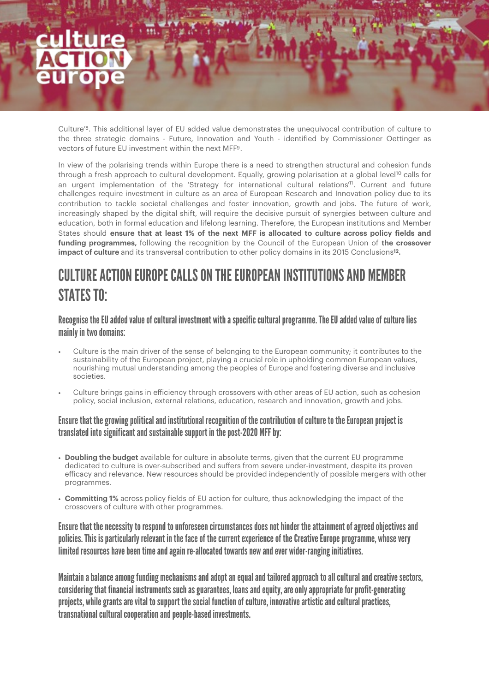<span id="page-1-0"></span>Culture'<sup>8</sup>[.](#page-2-7) This additional layer of EU added value demonstrates the unequivocal contribution of culture to the three strategic domains - Future, Innovation and Youth - identified by Commissioner Oettinger as vectors of future FU investment within the next MFF<sup>[9](#page-2-8)</sup>.

<span id="page-1-3"></span><span id="page-1-2"></span><span id="page-1-1"></span>In view of the polarising trends within Europe there is a need to strengthen structural and cohesion funds through a fresh approach to cultural development. Equally, growing polarisation at a global level<sup>[10](#page-2-9)</sup> calls for an urgent implementation of the 'Strategy for international cultural relations<sup>[11](#page-2-10)</sup>. Current and future challenges require investment in culture as an area of European Research and Innovation policy due to its contribution to tackle societal challenges and foster innovation, growth and jobs. The future of work, increasingly shaped by the digital shift, will require the decisive pursuit of synergies between culture and education, both in formal education and lifelong learning. Therefore, the European institutions and Member States should **ensure that at least 1% of the next MFF is allocated to culture across policy fields and funding programmes,** following the recognition by the Council of the European Union of **the crossover impact of culture** and its transversal contribution to other policy domains in its 2015 Conclusions<sup>[12](#page-2-11)</sup>.

## <span id="page-1-4"></span>CULTURE ACTION FUROPE CALLS ON THE FUROPEAN INSTITUTIONS AND MEMBER STATES TO:

Recognise the EU added value of cultural investment with a specific cultural programme. The EU added value of culture lies mainly in two domains:

- Culture is the main driver of the sense of belonging to the European community; it contributes to the sustainability of the European project, playing a crucial role in upholding common European values, nourishing mutual understanding among the peoples of Europe and fostering diverse and inclusive societies.
- Culture brings gains in eficiency through crossovers with other areas of EU action, such as cohesion policy, social inclusion, external relations, education, research and innovation, growth and jobs.

### Ensure that the growing political and institutional recognition of the contribution of culture to the European project is translated into significant and sustainable support in the post-2020 MFF by:

- **Doubling the budget** available for culture in absolute terms, given that the current EU programme dedicated to culture is over-subscribed and suffers from severe under-investment, despite its proven eficacy and relevance. New resources should be provided independently of possible mergers with other programmes.
- **Committing 1%** across policy fields of EU action for culture, thus acknowledging the impact of the crossovers of culture with other programmes.

Ensure that the necessity to respond to unforeseen circumstances does not hinder the attainment of agreed objectives and policies. This is particularly relevant in the face of the current experience of the Creative Europe programme, whose very limited resources have been time and again re-allocated towards new and ever wider-ranging initiatives.

Maintain a balance among funding mechanisms and adopt an equal and tailored approach to all cultural and creative sectors, considering that financial instruments such as guarantees, loans and equity, are only appropriate for profit-generating projects, while grants are vital to support the social function of culture, innovative artistic and cultural practices, transnational cultural cooperation and people-based investments.